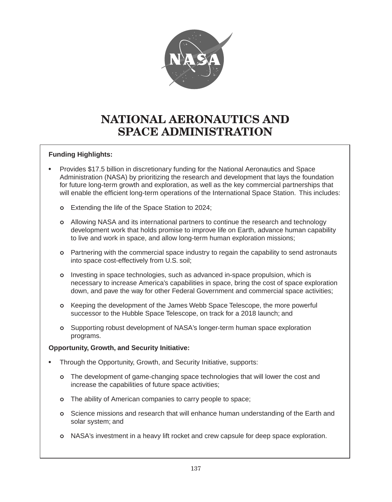

# NATIONAL AERONAUTICS AND SPACE ADMINISTRATION

# **Funding Highlights:**

- Provides \$17.5 billion in discretionary funding for the National Aeronautics and Space Administration (NASA) by prioritizing the research and development that lays the foundation for future long-term growth and exploration, as well as the key commercial partnerships that will enable the efficient long-term operations of the International Space Station. This includes:
	- **o** Extending the life of the Space Station to 2024;
	- | Allowing NASA and its international partners to continue the research and technology development work that holds promise to improve life on Earth, advance human capability to live and work in space, and allow long-term human exploration missions;
	- | Partnering with the commercial space industry to regain the capability to send astronauts into space cost-effectively from U.S. soil;
	- | Investing in space technologies, such as advanced in-space propulsion, which is necessary to increase America's capabilities in space, bring the cost of space exploration down, and pave the way for other Federal Government and commercial space activities;
	- | Keeping the development of the James Webb Space Telescope, the more powerful successor to the Hubble Space Telescope, on track for a 2018 launch; and
	- | Supporting robust development of NASA's longer-term human space exploration programs.

# **Opportunity, Growth, and Security Initiative:**

- Through the Opportunity, Growth, and Security Initiative, supports:
	- o The development of game-changing space technologies that will lower the cost and increase the capabilities of future space activities;
	- o The ability of American companies to carry people to space;
	- | Science missions and research that will enhance human understanding of the Earth and solar system; and
	- | NASA's investment in a heavy lift rocket and crew capsule for deep space exploration.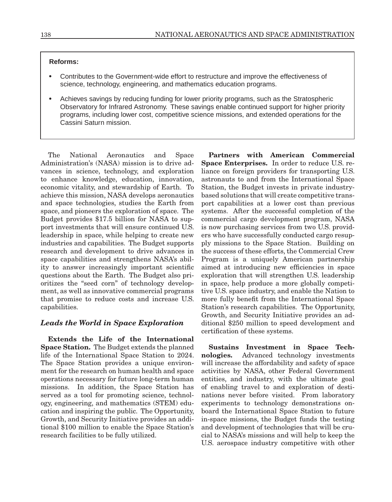#### **Reforms:**

- Contributes to the Government-wide effort to restructure and improve the effectiveness of science, technology, engineering, and mathematics education programs.
- Achieves savings by reducing funding for lower priority programs, such as the Stratospheric Observatory for Infrared Astronomy. These savings enable continued support for higher priority programs, including lower cost, competitive science missions, and extended operations for the Cassini Saturn mission.

The National Aeronautics and Space Administration's (NASA) mission is to drive advances in science, technology, and exploration to enhance knowledge, education, innovation, economic vitality, and stewardship of Earth. To achieve this mission, NASA develops aeronautics and space technologies, studies the Earth from space, and pioneers the exploration of space. The Budget provides \$17.5 billion for NASA to support investments that will ensure continued U.S. leadership in space, while helping to create new industries and capabilities. The Budget supports research and development to drive advances in space capabilities and strengthens NASA's ability to answer increasingly important scientific questions about the Earth. The Budget also prioritizes the "seed corn" of technology development, as well as innovative commercial programs that promise to reduce costs and increase U.S. capabilities.

## *Leads the World in Space Exploration*

Extends the Life of the International Space Station. The Budget extends the planned life of the International Space Station to 2024. The Space Station provides a unique environment for the research on human health and space operations necessary for future long-term human missions. In addition, the Space Station has served as a tool for promoting science, technology, engineering, and mathematics (STEM) education and inspiring the public. The Opportunity, Growth, and Security Initiative provides an additional \$100 million to enable the Space Station's research facilities to be fully utilized.

Partners with American Commercial Space Enterprises. In order to reduce U.S. reliance on foreign providers for transporting U.S. astronauts to and from the International Space Station, the Budget invests in private industrybased solutions that will create competitive transport capabilities at a lower cost than previous systems. After the successful completion of the commercial cargo development program, NASA is now purchasing services from two U.S. providers who have successfully conducted cargo resupply missions to the Space Station. Building on the success of these efforts, the Commercial Crew Program is a uniquely American partnership aimed at introducing new efficiencies in space exploration that will strengthen U.S. leadership in space, help produce a more globally competitive U.S. space industry, and enable the Nation to more fully benefit from the International Space Station's research capabilities. The Opportunity, Growth, and Security Initiative provides an additional \$250 million to speed development and certification of these systems.

Sustains Investment in Space Technologies. Advanced technology investments will increase the affordability and safety of space activities by NASA, other Federal Government entities, and industry, with the ultimate goal of enabling travel to and exploration of destinations never before visited. From laboratory experiments to technology demonstrations onboard the International Space Station to future in-space missions, the Budget funds the testing and development of technologies that will be crucial to NASA's missions and will help to keep the U.S. aerospace industry competitive with other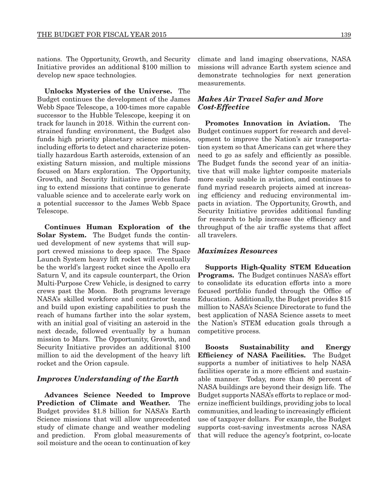nations. The Opportunity, Growth, and Security Initiative provides an additional \$100 million to develop new space technologies.

Unlocks Mysteries of the Universe. The Budget continues the development of the James Webb Space Telescope, a 100-times more capable successor to the Hubble Telescope, keeping it on track for launch in 2018. Within the current constrained funding environment, the Budget also funds high priority planetary science missions, including efforts to detect and characterize potentially hazardous Earth asteroids, extension of an existing Saturn mission, and multiple missions focused on Mars exploration. The Opportunity, Growth, and Security Initiative provides funding to extend missions that continue to generate valuable science and to accelerate early work on a potential successor to the James Webb Space Telescope.

Continues Human Exploration of the Solar System. The Budget funds the continued development of new systems that will support crewed missions to deep space. The Space Launch System heavy lift rocket will eventually be the world's largest rocket since the Apollo era Saturn V, and its capsule counterpart, the Orion Multi-Purpose Crew Vehicle, is designed to carry crews past the Moon. Both programs leverage NASA's skilled workforce and contractor teams and build upon existing capabilities to push the reach of humans farther into the solar system, with an initial goal of visiting an asteroid in the next decade, followed eventually by a human mission to Mars. The Opportunity, Growth, and Security Initiative provides an additional \$100 million to aid the development of the heavy lift rocket and the Orion capsule.

### *Improves Understanding of the Earth*

Advances Science Needed to Improve Prediction of Climate and Weather. The Budget provides \$1.8 billion for NASA's Earth Science missions that will allow unprecedented study of climate change and weather modeling and prediction. From global measurements of soil moisture and the ocean to continuation of key

climate and land imaging observations, NASA missions will advance Earth system science and demonstrate technologies for next generation measurements.

## *Makes Air Travel Safer and More Cost-Effective*

Promotes Innovation in Aviation. The Budget continues support for research and development to improve the Nation's air transportation system so that Americans can get where they need to go as safely and efficiently as possible. The Budget funds the second year of an initiative that will make lighter composite materials more easily usable in aviation, and continues to fund myriad research projects aimed at increasing efficiency and reducing environmental impacts in aviation. The Opportunity, Growth, and Security Initiative provides additional funding for research to help increase the efficiency and throughput of the air traffic systems that affect all travelers.

### *Maximizes Resources*

Supports High-Quality STEM Education Programs. The Budget continues NASA's effort to consolidate its education efforts into a more focused portfolio funded through the Office of Education. Additionally, the Budget provides \$15 million to NASA's Science Directorate to fund the best application of NASA Science assets to meet the Nation's STEM education goals through a competitive process.

Boosts Sustainability and Energy Efficiency of NASA Facilities. The Budget supports a number of initiatives to help NASA facilities operate in a more efficient and sustainable manner. Today, more than 80 percent of NASA buildings are beyond their design life. The Budget supports NASA's efforts to replace or modernize inefficient buildings, providing jobs to local communities, and leading to increasingly efficient use of taxpayer dollars. For example, the Budget supports cost-saving investments across NASA that will reduce the agency's footprint, co-locate